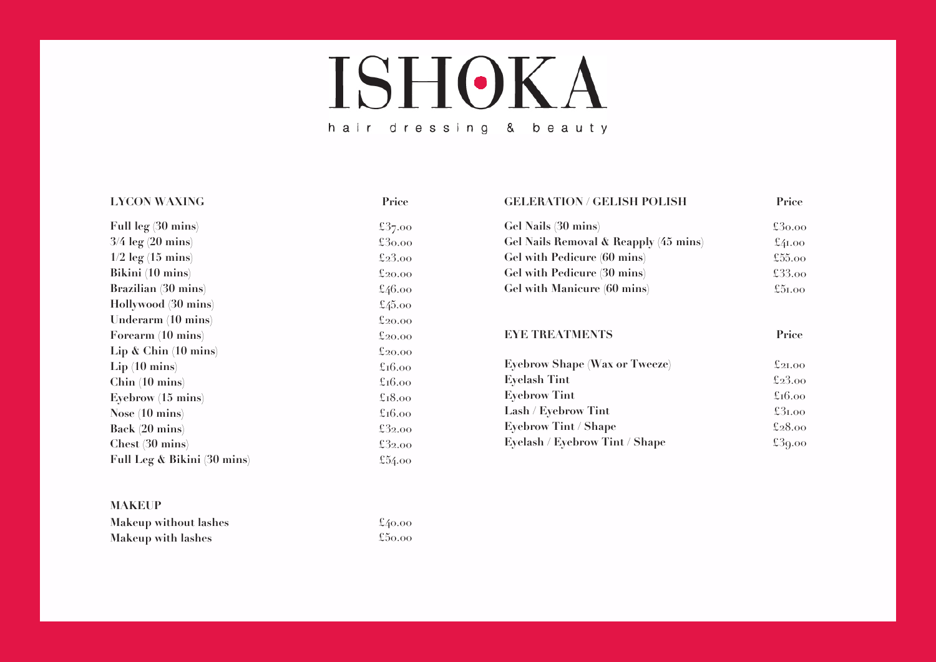## **ISHOKA** hair dressing & beauty

£37.00 £30.00 £23.00 £20.00 £46.00 £45.00 £20.00 £20.00 £20.00 £16.00 £16.00 £18.00 £16.00 £32.00 £32.00 £54.00

### **LYCON WAXING Price**

**Full leg (30 mins) 3/4 leg (20 mins) 1/2 leg (15 mins) Bikini (10 mins) Brazilian (30 mins) Hollywood (30 mins) Underarm (10 mins) Forearm (10 mins) Lip & Chin (10 mins) Lip (10 mins) Chin (10 mins) Eyebrow (15 mins) Nose (10 mins) Back (20 mins) Chest (30 mins) Full Leg & Bikini (30 mins)**

## **MAKEUP**

| Makeup without lashes     | $\pounds$ 40.00 |
|---------------------------|-----------------|
| <b>Makeup with lashes</b> | $\pounds$ 50.00 |

| <b>GELERATION / GELISH POLISH</b>     | Price                           |
|---------------------------------------|---------------------------------|
| Gel Nails (30 mins)                   | $\pounds30.00$                  |
| Gel Nails Removal & Reapply (45 mins) | $\pounds$ 41.00                 |
| Gel with Pedicure (60 mins)           | £55.00                          |
| Gel with Pedicure (30 mins)           | £33.00                          |
| Gel with Manicure (60 mins)           | £51.00                          |
| <b>EYE TREATMENTS</b>                 | Price                           |
| <b>Eyebrow Shape (Wax or Tweeze)</b>  | $\mathfrak{k}_{2\mathrm{I},00}$ |
| <b>Eyelash Tint</b>                   | £23.00                          |
| <b>Eyebrow Tint</b>                   | $\pounds$ 16.00                 |
| Lash / Eyebrow Tint                   | £31.00                          |
| <b>Eyebrow Tint / Shape</b>           | £28.00                          |

£39.00

**Eyelash / Eyebrow Tint / Shape**